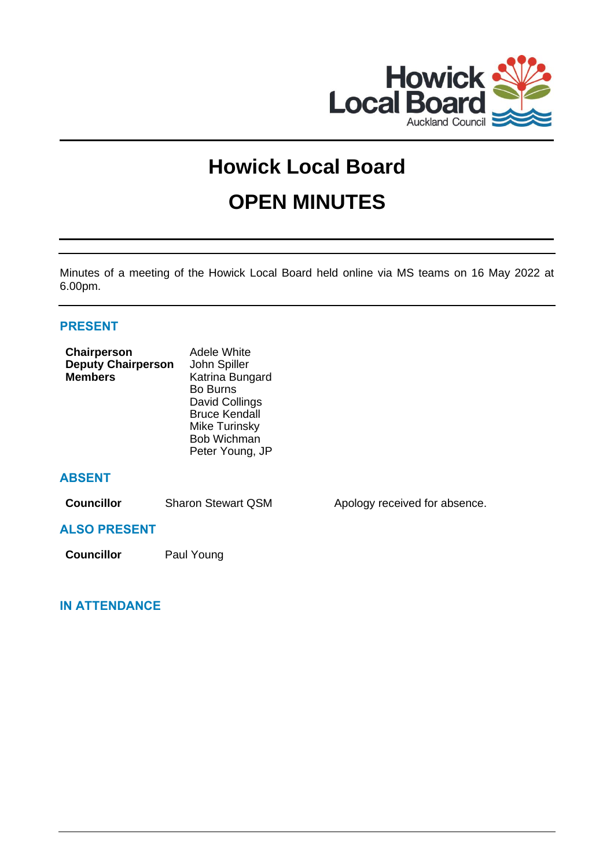

# **Howick Local Board OPEN MINUTES**

Minutes of a meeting of the Howick Local Board held online via MS teams on 16 May 2022 at 6.00pm.

# **PRESENT**

| Chairperson<br><b>Deputy Chairperson</b><br><b>Members</b> | Adele White<br>John Spiller<br>Katrina Bungard<br>Bo Burns<br>David Collings<br><b>Bruce Kendall</b><br>Mike Turinsky<br><b>Bob Wichman</b><br>Peter Young, JP |                               |
|------------------------------------------------------------|----------------------------------------------------------------------------------------------------------------------------------------------------------------|-------------------------------|
| <b>ABSENT</b>                                              |                                                                                                                                                                |                               |
| <b>Councillor</b>                                          | <b>Sharon Stewart QSM</b>                                                                                                                                      | Apology received for absence. |
| <b>ALSO PRESENT</b>                                        |                                                                                                                                                                |                               |
| <b>Councillor</b>                                          | Paul Young                                                                                                                                                     |                               |

# **IN ATTENDANCE**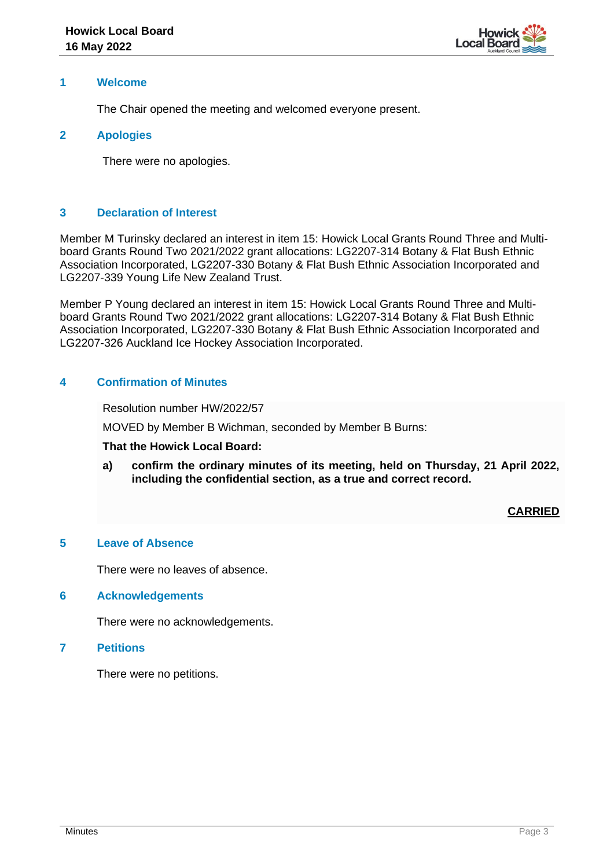

#### **1 Welcome**

The Chair opened the meeting and welcomed everyone present.

#### **2 Apologies**

There were no apologies.

# **3 Declaration of Interest**

Member M Turinsky declared an interest in item 15: Howick Local Grants Round Three and Multiboard Grants Round Two 2021/2022 grant allocations: LG2207-314 Botany & Flat Bush Ethnic Association Incorporated, LG2207-330 Botany & Flat Bush Ethnic Association Incorporated and LG2207-339 Young Life New Zealand Trust.

Member P Young declared an interest in item 15: Howick Local Grants Round Three and Multiboard Grants Round Two 2021/2022 grant allocations: LG2207-314 Botany & Flat Bush Ethnic Association Incorporated, LG2207-330 Botany & Flat Bush Ethnic Association Incorporated and LG2207-326 Auckland Ice Hockey Association Incorporated.

#### **4 Confirmation of Minutes**

Resolution number HW/2022/57

MOVED by Member B Wichman, seconded by Member B Burns:

#### **That the Howick Local Board:**

**a) confirm the ordinary minutes of its meeting, held on Thursday, 21 April 2022, including the confidential section, as a true and correct record.**

**CARRIED**

# **5 Leave of Absence**

There were no leaves of absence.

#### **6 Acknowledgements**

There were no acknowledgements.

#### **7 Petitions**

There were no petitions.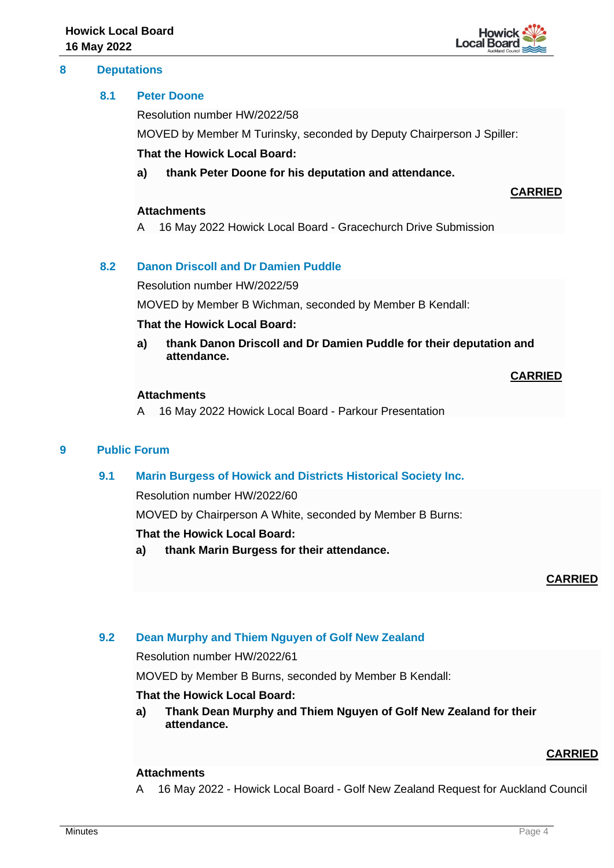#### **8 Deputations**



#### **8.1 Peter Doone**

Resolution number HW/2022/58

MOVED by Member M Turinsky, seconded by Deputy Chairperson J Spiller:

#### **That the Howick Local Board:**

**a) thank Peter Doone for his deputation and attendance.**

#### **Attachments**

A 16 May 2022 Howick Local Board - Gracechurch Drive Submission

# **8.2 Danon Driscoll and Dr Damien Puddle**

Resolution number HW/2022/59

MOVED by Member B Wichman, seconded by Member B Kendall:

#### **That the Howick Local Board:**

**a) thank Danon Driscoll and Dr Damien Puddle for their deputation and attendance.**

#### **CARRIED**

**CARRIED**

#### **Attachments**

A 16 May 2022 Howick Local Board - Parkour Presentation

# **9 Public Forum**

# **9.1 Marin Burgess of Howick and Districts Historical Society Inc.**

Resolution number HW/2022/60

MOVED by Chairperson A White, seconded by Member B Burns:

#### **That the Howick Local Board:**

**a) thank Marin Burgess for their attendance.**

**CARRIED**

# **9.2 Dean Murphy and Thiem Nguyen of Golf New Zealand**

Resolution number HW/2022/61

MOVED by Member B Burns, seconded by Member B Kendall:

#### **That the Howick Local Board:**

**a) Thank Dean Murphy and Thiem Nguyen of Golf New Zealand for their attendance.**

# **CARRIED**

# **Attachments**

A 16 May 2022 - Howick Local Board - Golf New Zealand Request for Auckland Council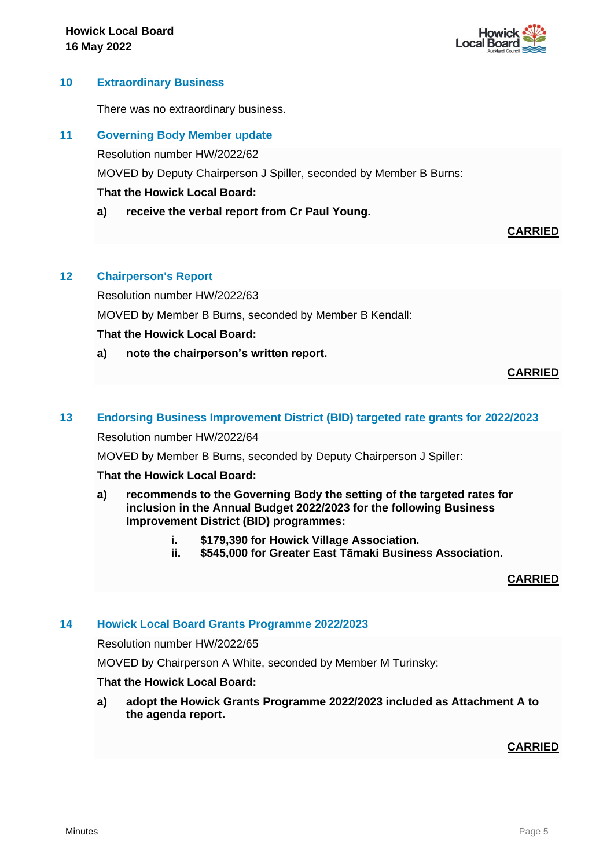

#### **10 Extraordinary Business**

There was no extraordinary business.

#### **11 Governing Body Member update**

Resolution number HW/2022/62

MOVED by Deputy Chairperson J Spiller, seconded by Member B Burns:

# **That the Howick Local Board:**

**a) receive the verbal report from Cr Paul Young.**

#### **CARRIED**

# **12 Chairperson's Report**

Resolution number HW/2022/63

MOVED by Member B Burns, seconded by Member B Kendall:

# **That the Howick Local Board:**

**a) note the chairperson's written report.**

# **CARRIED**

#### **13 Endorsing Business Improvement District (BID) targeted rate grants for 2022/2023**

Resolution number HW/2022/64

MOVED by Member B Burns, seconded by Deputy Chairperson J Spiller:

#### **That the Howick Local Board:**

- **a) recommends to the Governing Body the setting of the targeted rates for inclusion in the Annual Budget 2022/2023 for the following Business Improvement District (BID) programmes:**
	- **i. \$179,390 for Howick Village Association.**
	- **ii. \$545,000 for Greater East Tāmaki Business Association.**

**CARRIED**

#### **14 Howick Local Board Grants Programme 2022/2023**

Resolution number HW/2022/65

MOVED by Chairperson A White, seconded by Member M Turinsky:

#### **That the Howick Local Board:**

**a) adopt the Howick Grants Programme 2022/2023 included as Attachment A to the agenda report.**

# **CARRIED**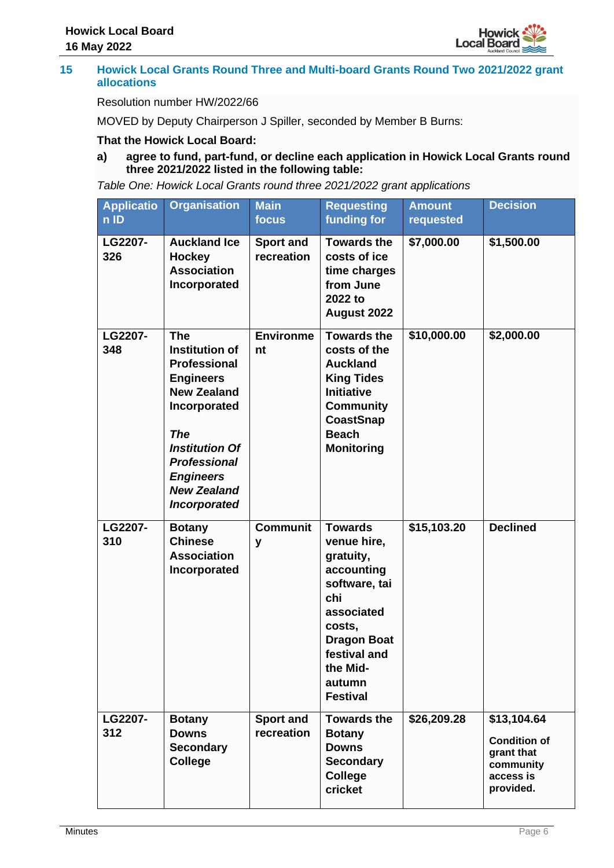

#### **15 Howick Local Grants Round Three and Multi-board Grants Round Two 2021/2022 grant allocations**

# Resolution number HW/2022/66

MOVED by Deputy Chairperson J Spiller, seconded by Member B Burns:

# **That the Howick Local Board:**

**a) agree to fund, part-fund, or decline each application in Howick Local Grants round three 2021/2022 listed in the following table:**

*Table One: Howick Local Grants round three 2021/2022 grant applications*

| <b>Applicatio</b><br>$n$ ID | <b>Organisation</b>                                                                                                                                                                                                                          | <b>Main</b><br>focus           | <b>Requesting</b><br>funding for                                                                                                                                                        | <b>Amount</b><br>requested | <b>Decision</b>                                                                         |
|-----------------------------|----------------------------------------------------------------------------------------------------------------------------------------------------------------------------------------------------------------------------------------------|--------------------------------|-----------------------------------------------------------------------------------------------------------------------------------------------------------------------------------------|----------------------------|-----------------------------------------------------------------------------------------|
| LG2207-<br>326              | <b>Auckland Ice</b><br><b>Hockey</b><br><b>Association</b><br>Incorporated                                                                                                                                                                   | <b>Sport and</b><br>recreation | <b>Towards the</b><br>costs of ice<br>time charges<br>from June<br>2022 to<br>August 2022                                                                                               | \$7,000.00                 | \$1,500.00                                                                              |
| LG2207-<br>348              | <b>The</b><br><b>Institution of</b><br><b>Professional</b><br><b>Engineers</b><br><b>New Zealand</b><br>Incorporated<br><b>The</b><br><b>Institution Of</b><br><b>Professional</b><br><b>Engineers</b><br><b>New Zealand</b><br>Incorporated | <b>Environme</b><br>nt         | <b>Towards the</b><br>costs of the<br><b>Auckland</b><br><b>King Tides</b><br><b>Initiative</b><br><b>Community</b><br><b>CoastSnap</b><br><b>Beach</b><br><b>Monitoring</b>            | \$10,000.00                | \$2,000.00                                                                              |
| LG2207-<br>310              | <b>Botany</b><br><b>Chinese</b><br><b>Association</b><br>Incorporated                                                                                                                                                                        | <b>Communit</b><br>y           | <b>Towards</b><br>venue hire,<br>gratuity,<br>accounting<br>software, tai<br>chi<br>associated<br>costs,<br><b>Dragon Boat</b><br>festival and<br>the Mid-<br>autumn<br><b>Festival</b> | \$15,103.20                | <b>Declined</b>                                                                         |
| LG2207-<br>312              | <b>Botany</b><br><b>Downs</b><br><b>Secondary</b><br><b>College</b>                                                                                                                                                                          | <b>Sport and</b><br>recreation | <b>Towards the</b><br><b>Botany</b><br><b>Downs</b><br><b>Secondary</b><br><b>College</b><br>cricket                                                                                    | \$26,209.28                | \$13,104.64<br><b>Condition of</b><br>grant that<br>community<br>access is<br>provided. |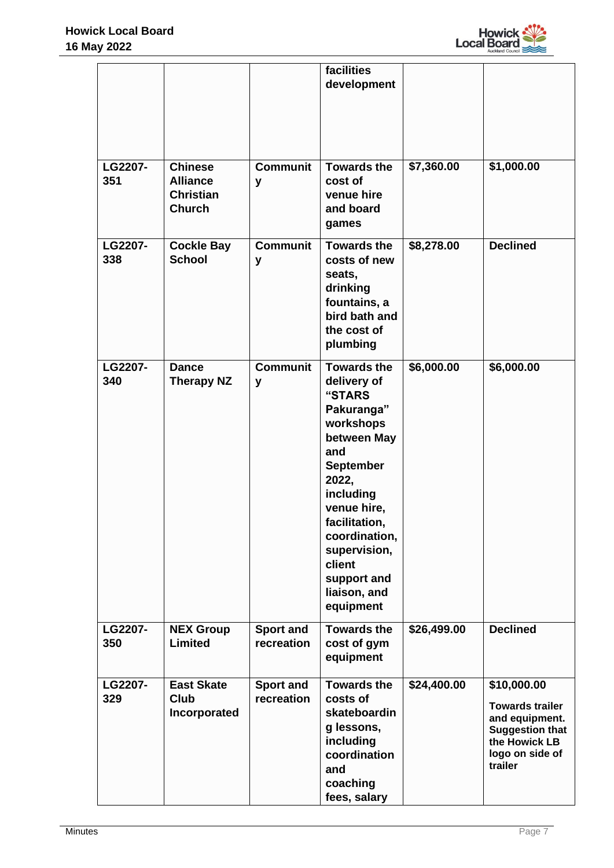

|                |                                                                        |                                | facilities<br>development                                                                                                                                                                                                                                     |             |                                                                                                                                  |
|----------------|------------------------------------------------------------------------|--------------------------------|---------------------------------------------------------------------------------------------------------------------------------------------------------------------------------------------------------------------------------------------------------------|-------------|----------------------------------------------------------------------------------------------------------------------------------|
| LG2207-<br>351 | <b>Chinese</b><br><b>Alliance</b><br><b>Christian</b><br><b>Church</b> | <b>Communit</b><br>y           | <b>Towards the</b><br>cost of<br>venue hire<br>and board<br>games                                                                                                                                                                                             | \$7,360.00  | \$1,000.00                                                                                                                       |
| LG2207-<br>338 | <b>Cockle Bay</b><br><b>School</b>                                     | <b>Communit</b><br>y           | <b>Towards the</b><br>costs of new<br>seats,<br>drinking<br>fountains, a<br>bird bath and<br>the cost of<br>plumbing                                                                                                                                          | \$8,278.00  | <b>Declined</b>                                                                                                                  |
| LG2207-<br>340 | <b>Dance</b><br><b>Therapy NZ</b>                                      | <b>Communit</b><br>y           | <b>Towards the</b><br>delivery of<br>"STARS<br>Pakuranga"<br>workshops<br>between May<br>and<br><b>September</b><br>2022,<br>including<br>venue hire,<br>facilitation,<br>coordination,<br>supervision,<br>client<br>support and<br>liaison, and<br>equipment | \$6,000.00  | \$6,000.00                                                                                                                       |
| LG2207-<br>350 | <b>NEX Group</b><br><b>Limited</b>                                     | <b>Sport and</b><br>recreation | <b>Towards the</b><br>cost of gym<br>equipment                                                                                                                                                                                                                | \$26,499.00 | <b>Declined</b>                                                                                                                  |
| LG2207-<br>329 | <b>East Skate</b><br><b>Club</b><br>Incorporated                       | <b>Sport and</b><br>recreation | <b>Towards the</b><br>costs of<br>skateboardin<br>g lessons,<br>including<br>coordination<br>and<br>coaching<br>fees, salary                                                                                                                                  | \$24,400.00 | \$10,000.00<br><b>Towards trailer</b><br>and equipment.<br><b>Suggestion that</b><br>the Howick LB<br>logo on side of<br>trailer |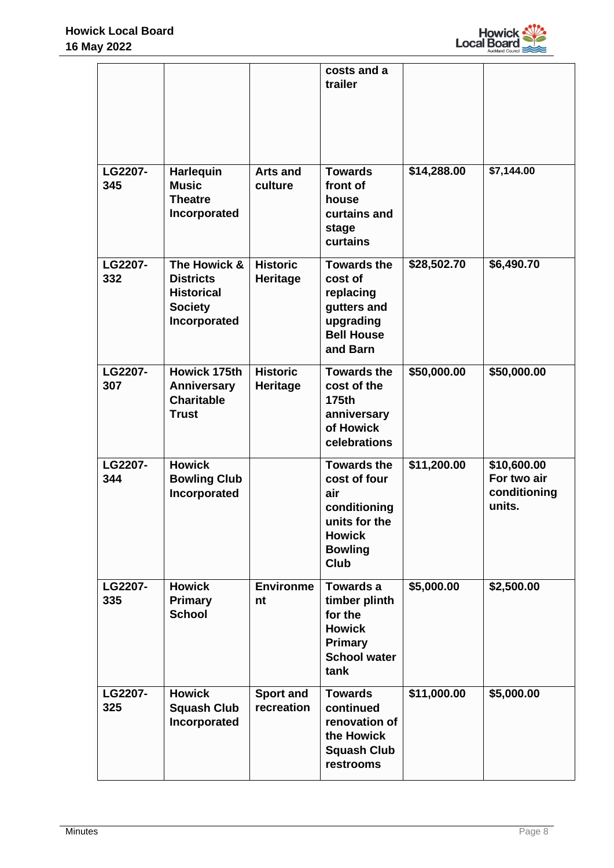

|                |                                                                                         |                                    | costs and a<br>trailer                                                                                                       |             |                                                      |
|----------------|-----------------------------------------------------------------------------------------|------------------------------------|------------------------------------------------------------------------------------------------------------------------------|-------------|------------------------------------------------------|
| LG2207-<br>345 | <b>Harlequin</b><br><b>Music</b><br><b>Theatre</b><br>Incorporated                      | <b>Arts and</b><br>culture         | <b>Towards</b><br>front of<br>house<br>curtains and<br>stage<br>curtains                                                     | \$14,288.00 | \$7,144.00                                           |
| LG2207-<br>332 | The Howick &<br><b>Districts</b><br><b>Historical</b><br><b>Society</b><br>Incorporated | <b>Historic</b><br><b>Heritage</b> | <b>Towards the</b><br>cost of<br>replacing<br>gutters and<br>upgrading<br><b>Bell House</b><br>and Barn                      | \$28,502.70 | \$6,490.70                                           |
| LG2207-<br>307 | <b>Howick 175th</b><br>Anniversary<br><b>Charitable</b><br><b>Trust</b>                 | <b>Historic</b><br><b>Heritage</b> | <b>Towards the</b><br>cost of the<br>175th<br>anniversary<br>of Howick<br>celebrations                                       | \$50,000.00 | \$50,000.00                                          |
| LG2207-<br>344 | <b>Howick</b><br><b>Bowling Club</b><br>Incorporated                                    |                                    | <b>Towards the</b><br>cost of four<br>air<br>conditioning<br>units for the<br><b>Howick</b><br><b>Bowling</b><br><b>Club</b> | \$11,200.00 | \$10,600.00<br>For two air<br>conditioning<br>units. |
| LG2207-<br>335 | <b>Howick</b><br><b>Primary</b><br><b>School</b>                                        | <b>Environme</b><br>nt             | Towards a<br>timber plinth<br>for the<br><b>Howick</b><br>Primary<br><b>School water</b><br>tank                             | \$5,000.00  | \$2,500.00                                           |
| LG2207-<br>325 | <b>Howick</b><br><b>Squash Club</b><br>Incorporated                                     | <b>Sport and</b><br>recreation     | <b>Towards</b><br>continued<br>renovation of<br>the Howick<br><b>Squash Club</b><br>restrooms                                | \$11,000.00 | \$5,000.00                                           |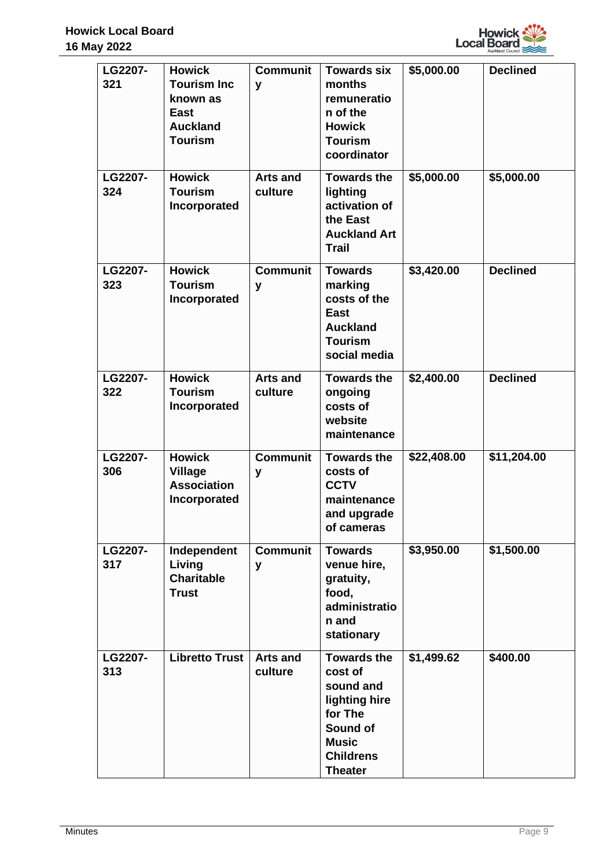

| LG2207-<br>321 | <b>Howick</b><br><b>Tourism Inc</b><br>known as<br><b>East</b><br><b>Auckland</b><br><b>Tourism</b> | <b>Communit</b><br>y       | <b>Towards six</b><br>months<br>remuneratio<br>n of the<br><b>Howick</b><br><b>Tourism</b><br>coordinator                                | \$5,000.00  | <b>Declined</b> |
|----------------|-----------------------------------------------------------------------------------------------------|----------------------------|------------------------------------------------------------------------------------------------------------------------------------------|-------------|-----------------|
| LG2207-<br>324 | <b>Howick</b><br><b>Tourism</b><br>Incorporated                                                     | <b>Arts and</b><br>culture | <b>Towards the</b><br>lighting<br>activation of<br>the East<br><b>Auckland Art</b><br><b>Trail</b>                                       | \$5,000.00  | \$5,000.00      |
| LG2207-<br>323 | <b>Howick</b><br><b>Tourism</b><br>Incorporated                                                     | <b>Communit</b><br>y       | <b>Towards</b><br>marking<br>costs of the<br><b>East</b><br><b>Auckland</b><br><b>Tourism</b><br>social media                            | \$3,420.00  | <b>Declined</b> |
| LG2207-<br>322 | <b>Howick</b><br><b>Tourism</b><br>Incorporated                                                     | <b>Arts and</b><br>culture | <b>Towards the</b><br>ongoing<br>costs of<br>website<br>maintenance                                                                      | \$2,400.00  | <b>Declined</b> |
| LG2207-<br>306 | <b>Howick</b><br><b>Village</b><br><b>Association</b><br>Incorporated                               | <b>Communit</b><br>y       | <b>Towards the</b><br>costs of<br><b>CCTV</b><br>maintenance<br>and upgrade<br>of cameras                                                | \$22,408.00 | \$11,204.00     |
| LG2207-<br>317 | Independent<br>Living<br><b>Charitable</b><br><b>Trust</b>                                          | <b>Communit</b><br>y       | <b>Towards</b><br>venue hire,<br>gratuity,<br>food,<br>administratio<br>n and<br>stationary                                              | \$3,950.00  | \$1,500.00      |
| LG2207-<br>313 | <b>Libretto Trust</b>                                                                               | <b>Arts and</b><br>culture | <b>Towards the</b><br>cost of<br>sound and<br>lighting hire<br>for The<br>Sound of<br><b>Music</b><br><b>Childrens</b><br><b>Theater</b> | \$1,499.62  | \$400.00        |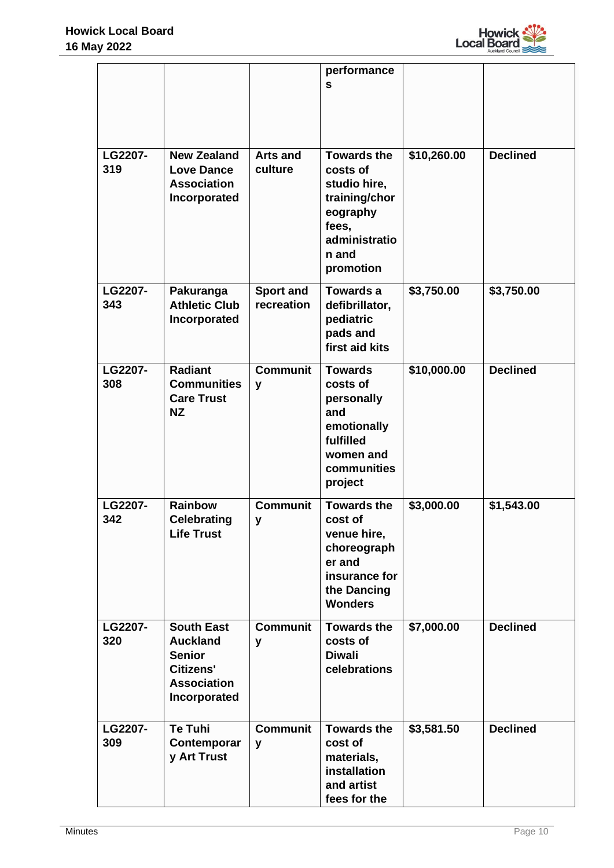

|                |                                                                                                                 |                                | performance<br>S                                                                                                            |             |                 |
|----------------|-----------------------------------------------------------------------------------------------------------------|--------------------------------|-----------------------------------------------------------------------------------------------------------------------------|-------------|-----------------|
| LG2207-<br>319 | <b>New Zealand</b><br><b>Love Dance</b><br><b>Association</b><br>Incorporated                                   | <b>Arts and</b><br>culture     | <b>Towards the</b><br>costs of<br>studio hire,<br>training/chor<br>eography<br>fees,<br>administratio<br>n and<br>promotion | \$10,260.00 | <b>Declined</b> |
| LG2207-<br>343 | Pakuranga<br><b>Athletic Club</b><br>Incorporated                                                               | <b>Sport and</b><br>recreation | <b>Towards a</b><br>defibrillator,<br>pediatric<br>pads and<br>first aid kits                                               | \$3,750.00  | \$3,750.00      |
| LG2207-<br>308 | <b>Radiant</b><br><b>Communities</b><br><b>Care Trust</b><br><b>NZ</b>                                          | <b>Communit</b><br>y           | <b>Towards</b><br>costs of<br>personally<br>and<br>emotionally<br>fulfilled<br>women and<br>communities<br>project          | \$10,000.00 | <b>Declined</b> |
| LG2207-<br>342 | <b>Rainbow</b><br><b>Celebrating</b><br><b>Life Trust</b>                                                       | <b>Communit</b><br>У           | <b>Towards the</b><br>cost of<br>venue hire,<br>choreograph<br>er and<br>insurance for<br>the Dancing<br><b>Wonders</b>     | \$3,000.00  | \$1,543.00      |
| LG2207-<br>320 | <b>South East</b><br><b>Auckland</b><br><b>Senior</b><br><b>Citizens'</b><br><b>Association</b><br>Incorporated | <b>Communit</b><br>y           | <b>Towards the</b><br>costs of<br><b>Diwali</b><br>celebrations                                                             | \$7,000.00  | <b>Declined</b> |
| LG2207-<br>309 | <b>Te Tuhi</b><br>Contemporar<br>y Art Trust                                                                    | <b>Communit</b><br>y           | <b>Towards the</b><br>cost of<br>materials,<br>installation<br>and artist<br>fees for the                                   | \$3,581.50  | <b>Declined</b> |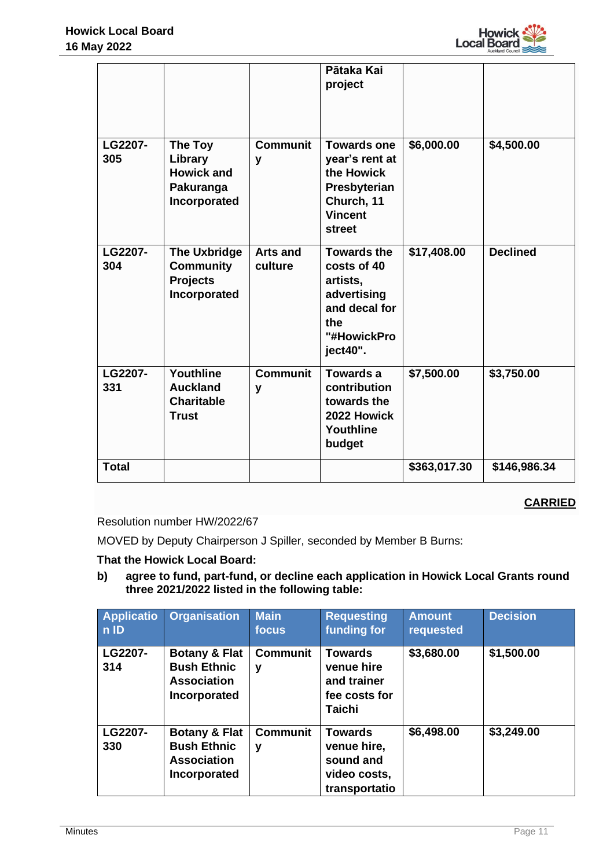

|                |                                                                            |                            | Pātaka Kai<br>project                                                                                               |              |                 |
|----------------|----------------------------------------------------------------------------|----------------------------|---------------------------------------------------------------------------------------------------------------------|--------------|-----------------|
| LG2207-<br>305 | The Toy<br>Library<br><b>Howick and</b><br>Pakuranga<br>Incorporated       | <b>Communit</b><br>y       | <b>Towards one</b><br>year's rent at<br>the Howick<br>Presbyterian<br>Church, 11<br><b>Vincent</b><br><b>street</b> | \$6,000.00   | \$4,500.00      |
| LG2207-<br>304 | <b>The Uxbridge</b><br><b>Community</b><br><b>Projects</b><br>Incorporated | <b>Arts and</b><br>culture | <b>Towards the</b><br>costs of 40<br>artists,<br>advertising<br>and decal for<br>the<br>"#HowickPro<br>ject40".     | \$17,408.00  | <b>Declined</b> |
| LG2207-<br>331 | Youthline<br><b>Auckland</b><br><b>Charitable</b><br><b>Trust</b>          | <b>Communit</b><br>y       | <b>Towards a</b><br>contribution<br>towards the<br>2022 Howick<br>Youthline<br>budget                               | \$7,500.00   | \$3,750.00      |
| <b>Total</b>   |                                                                            |                            |                                                                                                                     | \$363,017.30 | \$146,986.34    |

# **CARRIED**

Resolution number HW/2022/67

MOVED by Deputy Chairperson J Spiller, seconded by Member B Burns:

# **That the Howick Local Board:**

**b) agree to fund, part-fund, or decline each application in Howick Local Grants round three 2021/2022 listed in the following table:**

| <b>Applicatio</b><br>$n$ ID | <b>Organisation</b>                                                                  | <b>Main</b><br>focus | <b>Requesting</b><br>funding for                                              | <b>Amount</b><br>requested | <b>Decision</b> |
|-----------------------------|--------------------------------------------------------------------------------------|----------------------|-------------------------------------------------------------------------------|----------------------------|-----------------|
| LG2207-<br>314              | <b>Botany &amp; Flat</b><br><b>Bush Ethnic</b><br><b>Association</b><br>Incorporated | <b>Communit</b><br>۷ | <b>Towards</b><br>venue hire<br>and trainer<br>fee costs for<br><b>Taichi</b> | \$3,680.00                 | \$1,500.00      |
| LG2207-<br>330              | <b>Botany &amp; Flat</b><br><b>Bush Ethnic</b><br><b>Association</b><br>Incorporated | <b>Communit</b><br>v | <b>Towards</b><br>venue hire,<br>sound and<br>video costs,<br>transportatio   | \$6,498.00                 | \$3,249.00      |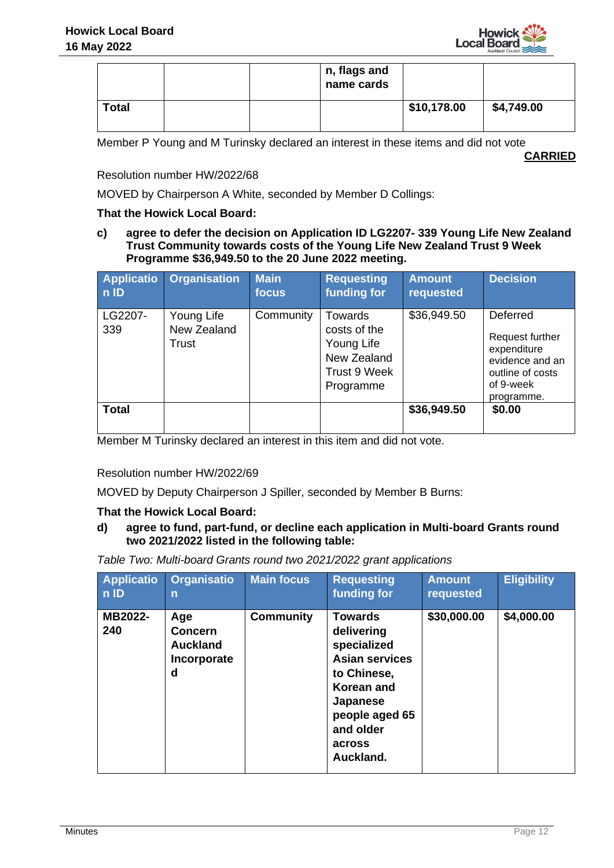

|              |  | n, flags and<br>name cards |             |            |
|--------------|--|----------------------------|-------------|------------|
| <b>Total</b> |  |                            | \$10,178.00 | \$4,749.00 |

Member P Young and M Turinsky declared an interest in these items and did not vote

**CARRIED**

Resolution number HW/2022/68

MOVED by Chairperson A White, seconded by Member D Collings:

#### **That the Howick Local Board:**

**c) agree to defer the decision on Application ID LG2207- 339 Young Life New Zealand Trust Community towards costs of the Young Life New Zealand Trust 9 Week Programme \$36,949.50 to the 20 June 2022 meeting.**

| <b>Applicatio</b><br>nID | <b>Organisation</b>                | <b>Main</b><br>focus | <b>Requesting</b><br>funding for                                                  | <b>Amount</b><br>requested | <b>Decision</b>                                                                                              |
|--------------------------|------------------------------------|----------------------|-----------------------------------------------------------------------------------|----------------------------|--------------------------------------------------------------------------------------------------------------|
| LG2207-<br>339           | Young Life<br>New Zealand<br>Trust | Community            | Towards<br>costs of the<br>Young Life<br>New Zealand<br>Trust 9 Week<br>Programme | \$36,949.50                | Deferred<br>Request further<br>expenditure<br>evidence and an<br>outline of costs<br>of 9-week<br>programme. |
| <b>Total</b>             |                                    |                      |                                                                                   | \$36,949.50                | \$0.00                                                                                                       |

Member M Turinsky declared an interest in this item and did not vote.

Resolution number HW/2022/69

MOVED by Deputy Chairperson J Spiller, seconded by Member B Burns:

#### **That the Howick Local Board:**

**d) agree to fund, part-fund, or decline each application in Multi-board Grants round two 2021/2022 listed in the following table:** 

*Table Two: Multi-board Grants round two 2021/2022 grant applications*

| <b>Applicatio</b><br>$n$ ID | <b>Organisatio</b><br>n                                      | <b>Main focus</b> | <b>Requesting</b><br>funding for                                                                                                                                           | <b>Amount</b><br>requested | <b>Eligibility</b> |
|-----------------------------|--------------------------------------------------------------|-------------------|----------------------------------------------------------------------------------------------------------------------------------------------------------------------------|----------------------------|--------------------|
| MB2022-<br>240              | Age<br><b>Concern</b><br><b>Auckland</b><br>Incorporate<br>d | <b>Community</b>  | <b>Towards</b><br>delivering<br>specialized<br><b>Asian services</b><br>to Chinese,<br><b>Korean and</b><br>Japanese<br>people aged 65<br>and older<br>across<br>Auckland. | \$30,000.00                | \$4,000.00         |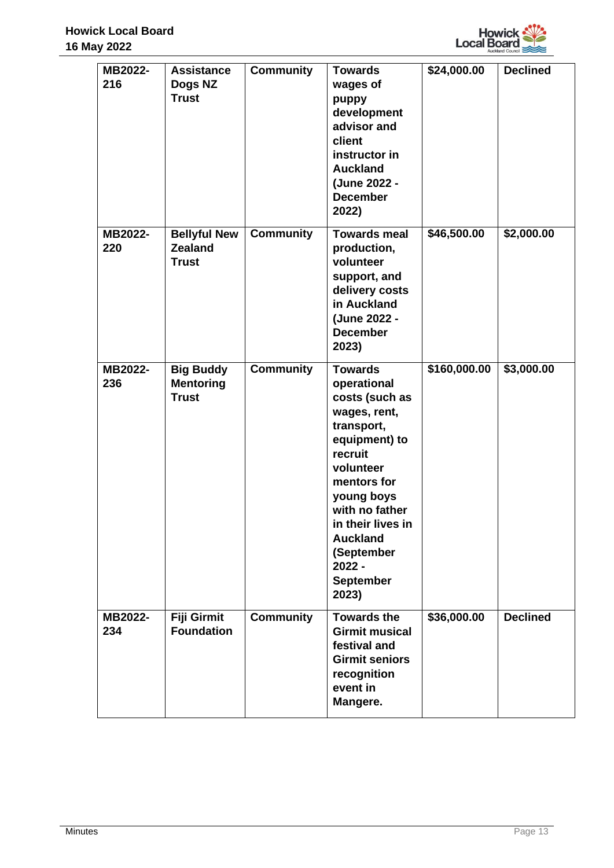

| MB2022-<br>216 | <b>Assistance</b><br>Dogs NZ<br><b>Trust</b>          | <b>Community</b> | <b>Towards</b><br>wages of<br>puppy<br>development<br>advisor and<br>client<br>instructor in<br><b>Auckland</b><br>(June 2022 -<br><b>December</b><br>2022)                                                                                                          | \$24,000.00  | <b>Declined</b> |
|----------------|-------------------------------------------------------|------------------|----------------------------------------------------------------------------------------------------------------------------------------------------------------------------------------------------------------------------------------------------------------------|--------------|-----------------|
| MB2022-<br>220 | <b>Bellyful New</b><br><b>Zealand</b><br><b>Trust</b> | <b>Community</b> | <b>Towards meal</b><br>production,<br>volunteer<br>support, and<br>delivery costs<br>in Auckland<br>(June 2022 -<br><b>December</b><br>2023)                                                                                                                         | \$46,500.00  | \$2,000.00      |
| MB2022-<br>236 | <b>Big Buddy</b><br><b>Mentoring</b><br><b>Trust</b>  | <b>Community</b> | <b>Towards</b><br>operational<br>costs (such as<br>wages, rent,<br>transport,<br>equipment) to<br>recruit<br>volunteer<br>mentors for<br>young boys<br>with no father<br>in their lives in<br><b>Auckland</b><br>(September<br>$2022 -$<br><b>September</b><br>2023) | \$160,000.00 | \$3,000.00      |
| MB2022-<br>234 | Fiji Girmit<br><b>Foundation</b>                      | <b>Community</b> | <b>Towards the</b><br><b>Girmit musical</b><br>festival and<br><b>Girmit seniors</b><br>recognition<br>event in<br>Mangere.                                                                                                                                          | \$36,000.00  | <b>Declined</b> |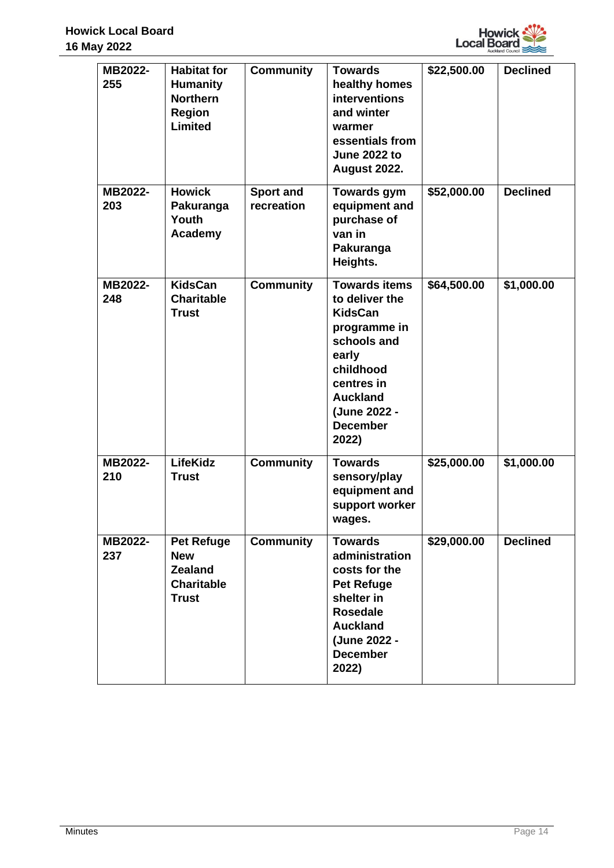

| MB2022-<br>255 | <b>Habitat for</b><br><b>Humanity</b><br><b>Northern</b><br><b>Region</b><br><b>Limited</b> | <b>Community</b>               | <b>Towards</b><br>healthy homes<br><b>interventions</b><br>and winter<br>warmer<br>essentials from<br><b>June 2022 to</b><br><b>August 2022.</b>                                           | \$22,500.00 | <b>Declined</b> |
|----------------|---------------------------------------------------------------------------------------------|--------------------------------|--------------------------------------------------------------------------------------------------------------------------------------------------------------------------------------------|-------------|-----------------|
| MB2022-<br>203 | <b>Howick</b><br>Pakuranga<br>Youth<br>Academy                                              | <b>Sport and</b><br>recreation | <b>Towards gym</b><br>equipment and<br>purchase of<br>van in<br>Pakuranga<br>Heights.                                                                                                      | \$52,000.00 | <b>Declined</b> |
| MB2022-<br>248 | <b>KidsCan</b><br><b>Charitable</b><br><b>Trust</b>                                         | <b>Community</b>               | <b>Towards items</b><br>to deliver the<br><b>KidsCan</b><br>programme in<br>schools and<br>early<br>childhood<br>centres in<br><b>Auckland</b><br>(June 2022 -<br><b>December</b><br>2022) | \$64,500.00 | \$1,000.00      |
| MB2022-<br>210 | <b>LifeKidz</b><br><b>Trust</b>                                                             | <b>Community</b>               | <b>Towards</b><br>sensory/play<br>equipment and<br>support worker<br>wages.                                                                                                                | \$25,000.00 | \$1,000.00      |
| MB2022-<br>237 | <b>Pet Refuge</b><br><b>New</b><br><b>Zealand</b><br><b>Charitable</b><br><b>Trust</b>      | <b>Community</b>               | <b>Towards</b><br>administration<br>costs for the<br><b>Pet Refuge</b><br>shelter in<br><b>Rosedale</b><br><b>Auckland</b><br>(June 2022 -<br><b>December</b><br>2022)                     | \$29,000.00 | <b>Declined</b> |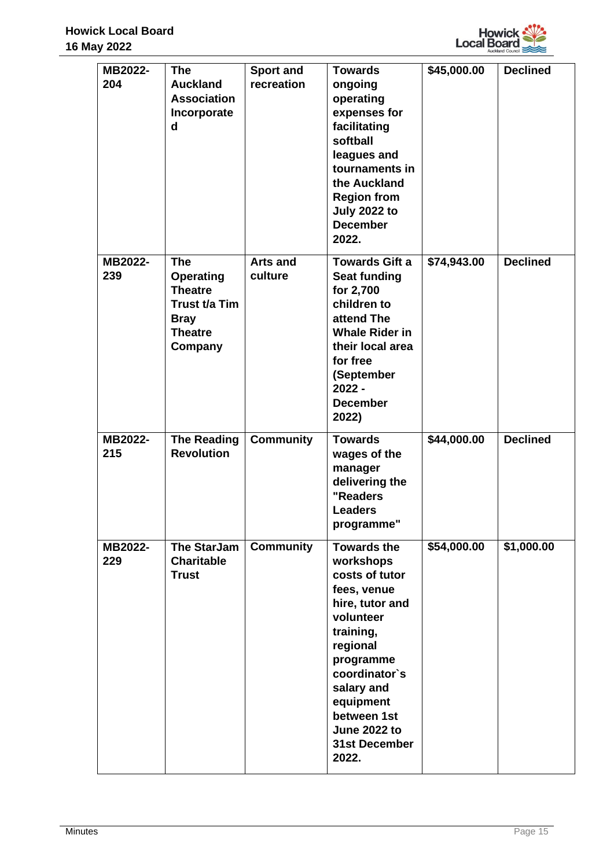

| MB2022-<br>204 | <b>The</b><br><b>Auckland</b><br><b>Association</b><br>Incorporate<br>$\mathbf d$                             | <b>Sport and</b><br>recreation | <b>Towards</b><br>ongoing<br>operating<br>expenses for<br>facilitating<br>softball<br>leagues and<br>tournaments in<br>the Auckland<br><b>Region from</b><br><b>July 2022 to</b><br><b>December</b><br>2022.                                              | \$45,000.00 | <b>Declined</b> |
|----------------|---------------------------------------------------------------------------------------------------------------|--------------------------------|-----------------------------------------------------------------------------------------------------------------------------------------------------------------------------------------------------------------------------------------------------------|-------------|-----------------|
| MB2022-<br>239 | <b>The</b><br><b>Operating</b><br><b>Theatre</b><br>Trust t/a Tim<br><b>Bray</b><br><b>Theatre</b><br>Company | <b>Arts and</b><br>culture     | <b>Towards Gift a</b><br><b>Seat funding</b><br>for 2,700<br>children to<br>attend The<br><b>Whale Rider in</b><br>their local area<br>for free<br>(September<br>$2022 -$<br><b>December</b><br>2022)                                                     | \$74,943.00 | <b>Declined</b> |
| MB2022-<br>215 | <b>The Reading</b><br><b>Revolution</b>                                                                       | <b>Community</b>               | <b>Towards</b><br>wages of the<br>manager<br>delivering the<br>"Readers<br><b>Leaders</b><br>programme"                                                                                                                                                   | \$44,000.00 | <b>Declined</b> |
| MB2022-<br>229 | <b>The StarJam</b><br><b>Charitable</b><br><b>Trust</b>                                                       | <b>Community</b>               | <b>Towards the</b><br>workshops<br>costs of tutor<br>fees, venue<br>hire, tutor and<br>volunteer<br>training,<br>regional<br>programme<br>coordinator's<br>salary and<br>equipment<br>between 1st<br><b>June 2022 to</b><br><b>31st December</b><br>2022. | \$54,000.00 | \$1,000.00      |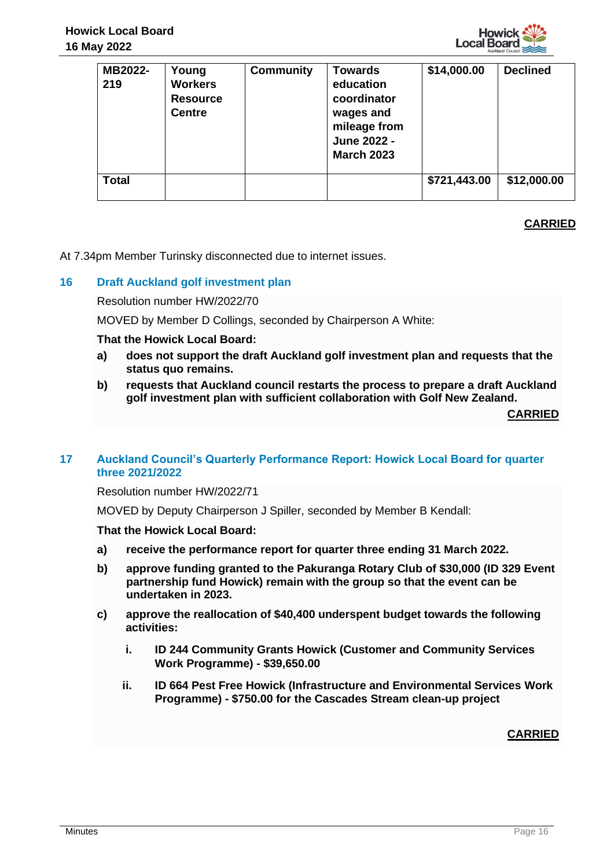

| MB2022-<br>219 | Young<br><b>Workers</b><br><b>Resource</b><br><b>Centre</b> | <b>Community</b> | <b>Towards</b><br>education<br>coordinator<br>wages and<br>mileage from<br>June 2022 -<br><b>March 2023</b> | \$14,000.00  | <b>Declined</b> |
|----------------|-------------------------------------------------------------|------------------|-------------------------------------------------------------------------------------------------------------|--------------|-----------------|
| <b>Total</b>   |                                                             |                  |                                                                                                             | \$721,443.00 | \$12,000.00     |

# **CARRIED**

At 7.34pm Member Turinsky disconnected due to internet issues.

# **16 Draft Auckland golf investment plan**

Resolution number HW/2022/70

MOVED by Member D Collings, seconded by Chairperson A White:

**That the Howick Local Board:**

- **a) does not support the draft Auckland golf investment plan and requests that the status quo remains.**
- **b) requests that Auckland council restarts the process to prepare a draft Auckland golf investment plan with sufficient collaboration with Golf New Zealand.**

**CARRIED**

#### **17 Auckland Council's Quarterly Performance Report: Howick Local Board for quarter three 2021/2022**

Resolution number HW/2022/71

MOVED by Deputy Chairperson J Spiller, seconded by Member B Kendall:

#### **That the Howick Local Board:**

- **a) receive the performance report for quarter three ending 31 March 2022.**
- **b) approve funding granted to the Pakuranga Rotary Club of \$30,000 (ID 329 Event partnership fund Howick) remain with the group so that the event can be undertaken in 2023.**
- **c) approve the reallocation of \$40,400 underspent budget towards the following activities:**
	- **i. ID 244 Community Grants Howick (Customer and Community Services Work Programme) - \$39,650.00**
	- **ii. ID 664 Pest Free Howick (Infrastructure and Environmental Services Work Programme) - \$750.00 for the Cascades Stream clean-up project**

**CARRIED**